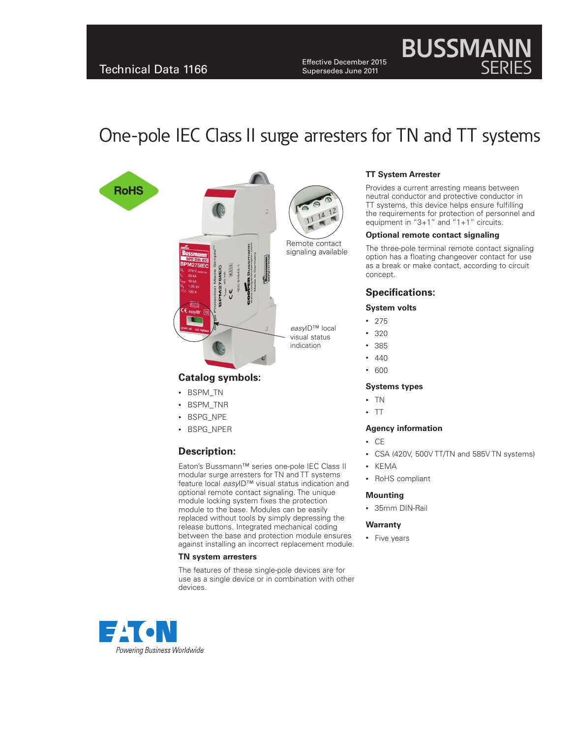Effective December 2015 Supersedes June 2011

# One-pole IEC Class II surge arresters for TN and TT systems







easyID<sup>™</sup> local visual status indication

### **Catalog symbols:**

- • BSPM\_TN
- • BSPM\_TNR
- BSPG\_NPE
- • BSPG\_NPER

## **Description:**

Eaton's Bussmann™ series one-pole IEC Class II modular surge arresters for TN and TT systems feature local easyID™ visual status indication and optional remote contact signaling. The unique module locking system fixes the protection module to the base. Modules can be easily replaced without tools by simply depressing the release buttons. Integrated mechanical coding between the base and protection module ensures against installing an incorrect replacement module.

#### **TN system arresters**

The features of these single-pole devices are for use as a single device or in combination with other devices.



Provides a current arresting means between neutral conductor and protective conductor in TT systems, this device helps ensure fulfilling the requirements for protection of personnel and equipment in "3+1" and "1+1" circuits.

**BUSSMAN** 

SERIES

#### **Optional remote contact signaling**

The three-pole terminal remote contact signaling option has a floating changeover contact for use as a break or make contact, according to circuit concept.

### **Specifications:**

#### **System volts**

- • 275
- • 320
- • 385
- $440$
- • 600

#### **Systems types**

- • TN
- $\cdot$  TT

#### **Agency information**

- • CE
- • CSA (420V, 500V TT/TN and 585V TN systems)
- • KEMA
- • RoHS compliant

#### **Mounting**

• 35mm DIN-Rail

#### **Warranty**

• Five years

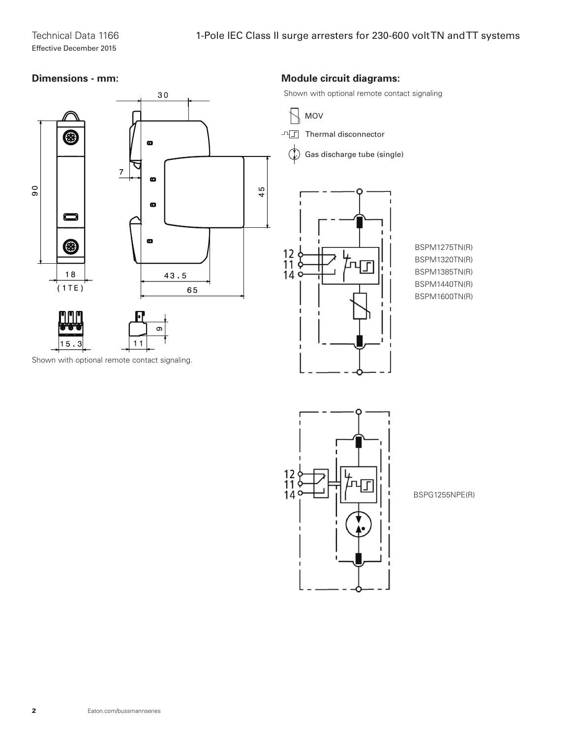## **Dimensions - mm:**



## **Module circuit diagrams:**

Shown with optional remote contact signaling

MOV  $\Box$  Thermal disconnector Gas discharge tube (single) $\mathcal{L}$  $\begin{array}{c} 12 \\ 11 \\ 14 \\ 14 \end{array}$  $\mathbf{I}$ 

BSPM1275TN(R) BSPM1320TN(R) BSPM1385TN(R) BSPM1440TN(R) BSPM1600TN(R)



BSPG1255NPE(R)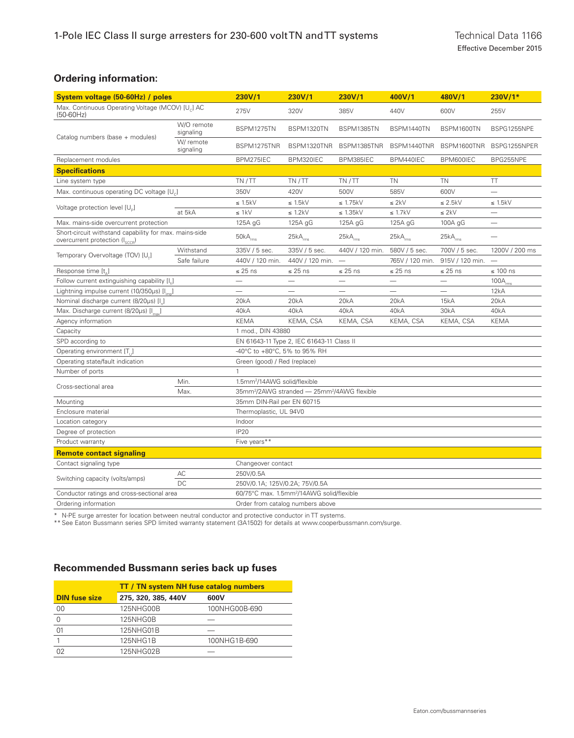## **Ordering information:**

| System voltage (50-60Hz) / poles                                                                      |                         | 230V/1                                                              | 230V/1                   | 230V/1                          | 400V/1                   | 480V/1                   | $230V/1*$                |
|-------------------------------------------------------------------------------------------------------|-------------------------|---------------------------------------------------------------------|--------------------------|---------------------------------|--------------------------|--------------------------|--------------------------|
| Max. Continuous Operating Voltage (MCOV) [U <sub>c</sub> ] AC<br>$(50-60Hz)$                          |                         | 275V                                                                | 320V                     | 385V                            | 440V                     | 600V                     | 255V                     |
| Catalog numbers (base + modules)                                                                      | W/O remote<br>signaling | BSPM1275TN                                                          | BSPM1320TN               | BSPM1385TN                      | BSPM1440TN               | BSPM1600TN               | BSPG1255NPE              |
|                                                                                                       | W/ remote<br>signaling  | BSPM1275TNR                                                         | BSPM1320TNR              | BSPM1385TNR                     | BSPM1440TNR              | BSPM1600TNR              | BSPG1255NPER             |
| Replacement modules                                                                                   |                         | BPM275IEC                                                           | BPM320IEC                | BPM385IEC                       | BPM440IEC                | BPM600IEC                | BPG255NPE                |
| <b>Specifications</b>                                                                                 |                         |                                                                     |                          |                                 |                          |                          |                          |
| Line system type                                                                                      |                         | TN/TT                                                               | TN/TT                    | TN/TT                           | <b>TN</b>                | <b>TN</b>                | TT                       |
| Max. continuous operating DC voltage [U.]                                                             |                         | 350V                                                                | 420V                     | 500V                            | 585V                     | 600V                     |                          |
| Voltage protection level [U ]                                                                         |                         | $\leq$ 1.5kV                                                        | $\leq$ 1.5kV             | $\leq$ 1.75kV                   | $\leq 2kV$               | $\leq$ 2.5kV             | $\leq$ 1.5kV             |
|                                                                                                       | at 5kA                  | $\leq 1kV$                                                          | $\leq 1.2kV$             | $\leq$ 1.35kV                   | $\leq$ 1.7kV             | $\leq 2kV$               |                          |
| Max. mains-side overcurrent protection                                                                |                         | 125A gG                                                             | 125A gG                  | 125A gG                         | 125A gG                  | 100A gG                  | $\overline{\phantom{0}}$ |
| Short-circuit withstand capability for max. mains-side<br>overcurrent protection (I <sub>cccp</sub> ) |                         | $50kA_{rms}$                                                        | $25kA_{\text{rms}}$      | $25kA_{\text{rms}}$             | $25kA_{rms}$             | $25kA_{rms}$             | $\overline{\phantom{0}}$ |
| Temporary Overvoltage (TOV) [U <sub>-</sub> ]                                                         | Withstand               | 335V / 5 sec.                                                       | 335V / 5 sec.            | 440V / 120 min.                 | 580V / 5 sec.            | 700V / 5 sec.            | 1200V / 200 ms           |
|                                                                                                       | Safe failure            | 440V / 120 min.                                                     | 440V / 120 min.          | $\overbrace{\phantom{1232211}}$ | 765V / 120 min.          | 915V / 120 min.          |                          |
| Response time [t.]                                                                                    |                         | $\leq$ 25 ns                                                        | $\leq$ 25 ns             | $\leq$ 25 ns                    | $\leq$ 25 ns             | $\leq$ 25 ns             | $\leq 100$ ns            |
| Follow current extinguishing capability $[I_{\scriptscriptstyle{6}}]$                                 |                         | $\overline{\phantom{0}}$                                            | $\overline{\phantom{0}}$ | $\overline{\phantom{0}}$        | $\overline{\phantom{0}}$ | $\overline{\phantom{0}}$ | $100A_{rms}$             |
| Lightning impulse current (10/350µs) [I <sub>im</sub> ]                                               |                         |                                                                     |                          |                                 |                          |                          | 12kA                     |
| Nominal discharge current (8/20µs) [I ]                                                               |                         | 20kA                                                                | 20kA                     | 20kA                            | 20kA                     | 15kA                     | 20kA                     |
| Max. Discharge current (8/20µs) [I <sub>msv</sub> ]                                                   |                         | 40kA                                                                | 40 <sub>k</sub> A        | 40kA                            | 40kA                     | 30kA                     | 40kA                     |
| Agency information                                                                                    |                         | <b>KEMA</b>                                                         | KEMA, CSA                | KEMA, CSA                       | KEMA, CSA                | KEMA, CSA                | <b>KEMA</b>              |
| Capacity                                                                                              |                         | 1 mod., DIN 43880                                                   |                          |                                 |                          |                          |                          |
| SPD according to                                                                                      |                         | EN 61643-11 Type 2, IEC 61643-11 Class II                           |                          |                                 |                          |                          |                          |
| Operating environment [T <sub>ii</sub> ]                                                              |                         | -40°C to +80°C, 5% to 95% RH                                        |                          |                                 |                          |                          |                          |
| Operating state/fault indication                                                                      |                         | Green (good) / Red (replace)                                        |                          |                                 |                          |                          |                          |
| Number of ports                                                                                       |                         | $\mathbf{1}$                                                        |                          |                                 |                          |                          |                          |
| Cross-sectional area                                                                                  | Min.                    | 1.5mm <sup>2</sup> /14AWG solid/flexible                            |                          |                                 |                          |                          |                          |
|                                                                                                       | Max.                    | 35mm <sup>2</sup> /2AWG stranded - 25mm <sup>2</sup> /4AWG flexible |                          |                                 |                          |                          |                          |
| Mounting                                                                                              |                         | 35mm DIN-Rail per EN 60715                                          |                          |                                 |                          |                          |                          |
| Enclosure material                                                                                    |                         | Thermoplastic, UL 94V0                                              |                          |                                 |                          |                          |                          |
| Location category                                                                                     |                         | Indoor                                                              |                          |                                 |                          |                          |                          |
| Degree of protection                                                                                  |                         | <b>IP20</b>                                                         |                          |                                 |                          |                          |                          |
| Product warranty                                                                                      |                         | Five years**                                                        |                          |                                 |                          |                          |                          |
| <b>Remote contact signaling</b>                                                                       |                         |                                                                     |                          |                                 |                          |                          |                          |
| Contact signaling type                                                                                |                         | Changeover contact                                                  |                          |                                 |                          |                          |                          |
| Switching capacity (volts/amps)                                                                       | AC                      | 250V/0.5A                                                           |                          |                                 |                          |                          |                          |
|                                                                                                       | DC.                     | 250V/0.1A; 125V/0.2A; 75V/0.5A                                      |                          |                                 |                          |                          |                          |
| Conductor ratings and cross-sectional area                                                            |                         | 60/75°C max. 1.5mm <sup>2</sup> /14AWG solid/flexible               |                          |                                 |                          |                          |                          |
| Ordering information                                                                                  |                         | Order from catalog numbers above                                    |                          |                                 |                          |                          |                          |

\* N-PE surge arrester for location between neutral conductor and protective conductor in TT systems.

\*\* See Eaton Bussmann series SPD limited warranty statement (3A1502) for details at www.cooperbussmann.com/surge.

## **Recommended Bussmann series back up fuses**

|                      | <b>TT / TN system NH fuse catalog numbers</b> |               |  |  |  |
|----------------------|-----------------------------------------------|---------------|--|--|--|
| <b>DIN fuse size</b> | 275, 320, 385, 440V                           | 600V          |  |  |  |
| 00                   | 125NHG00B                                     | 100NHG00B-690 |  |  |  |
|                      | 125NHG0B                                      |               |  |  |  |
| O <sub>1</sub>       | 125NHG01B                                     |               |  |  |  |
|                      | 125NHG1B                                      | 100NHG1B-690  |  |  |  |
|                      | 125NHG02B                                     |               |  |  |  |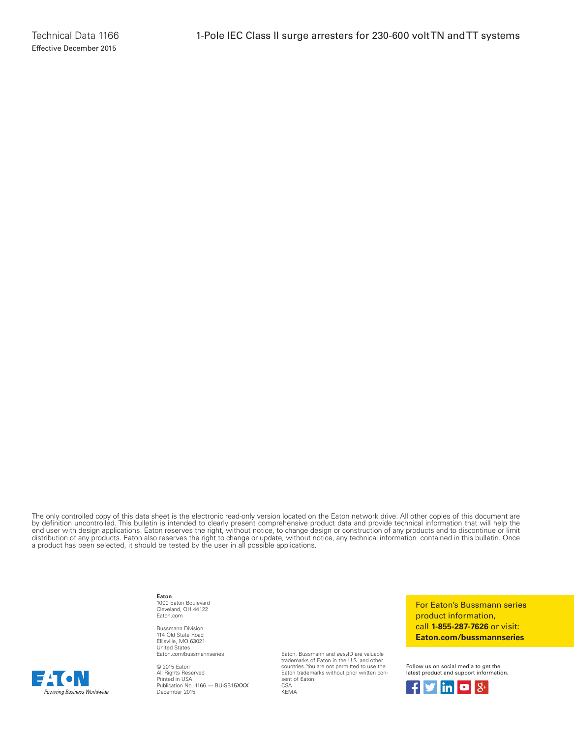The only controlled copy of this data sheet is the electronic read-only version located on the Eaton network drive. All other copies of this document are by definition uncontrolled. This bulletin is intended to clearly present comprehensive product data and provide technical information that will help the end user with design applications. Eaton reserves the right, without notice, to change design or construction of any products and to discontinue or limit distribution of any products. Eaton also reserves the right to change or update, without notice, any technical information contained in this bulletin. Once a product has been selected, it should be tested by the user in all possible applications.

> **Eaton** 1000 Eaton Boulevard Cleveland, OH 44122 Eaton.com

Bussmann Division 114 Old State Road Ellisville, MO 63021 United States Eaton.com/bussmannseries

© 2015 Eaton All Rights Reserved Printed in USA Publication No. 1166 — BU-SB15XXX December 2015

Eaton, Bussmann and easyID are valuable trademarks of Eaton in the U.S. and other countries. You are not permitted to use the Eaton trademarks without prior written consent of Eaton.  $C$ S $\Delta$ KEMA

For Eaton's Bussmann series product information, call **1-855-287-7626** or visit: **Eaton.com/bussmannseries**

Follow us on social media to get the latest product and support information.